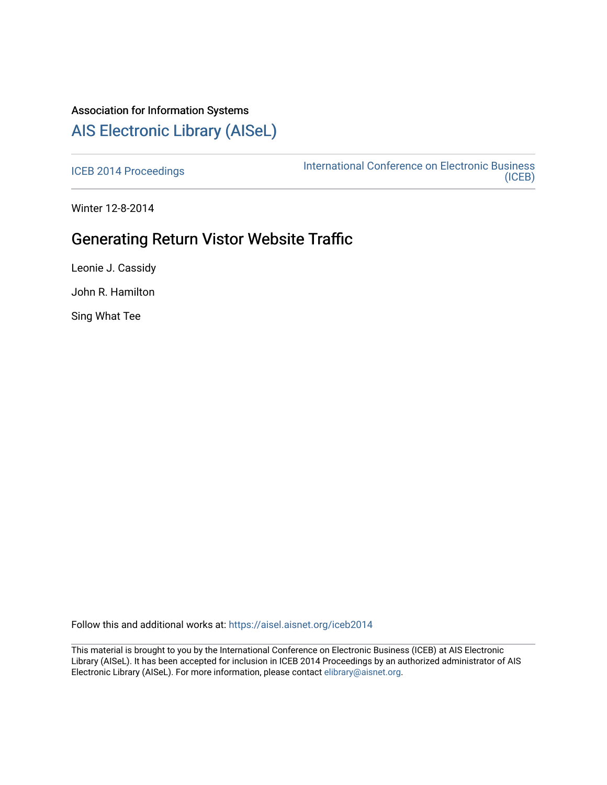# Association for Information Systems [AIS Electronic Library \(AISeL\)](https://aisel.aisnet.org/)

[ICEB 2014 Proceedings](https://aisel.aisnet.org/iceb2014) **International Conference on Electronic Business** [\(ICEB\)](https://aisel.aisnet.org/iceb) 

Winter 12-8-2014

# Generating Return Vistor Website Traffic

Leonie J. Cassidy

John R. Hamilton

Sing What Tee

Follow this and additional works at: [https://aisel.aisnet.org/iceb2014](https://aisel.aisnet.org/iceb2014?utm_source=aisel.aisnet.org%2Ficeb2014%2F41&utm_medium=PDF&utm_campaign=PDFCoverPages)

This material is brought to you by the International Conference on Electronic Business (ICEB) at AIS Electronic Library (AISeL). It has been accepted for inclusion in ICEB 2014 Proceedings by an authorized administrator of AIS Electronic Library (AISeL). For more information, please contact [elibrary@aisnet.org.](mailto:elibrary@aisnet.org%3E)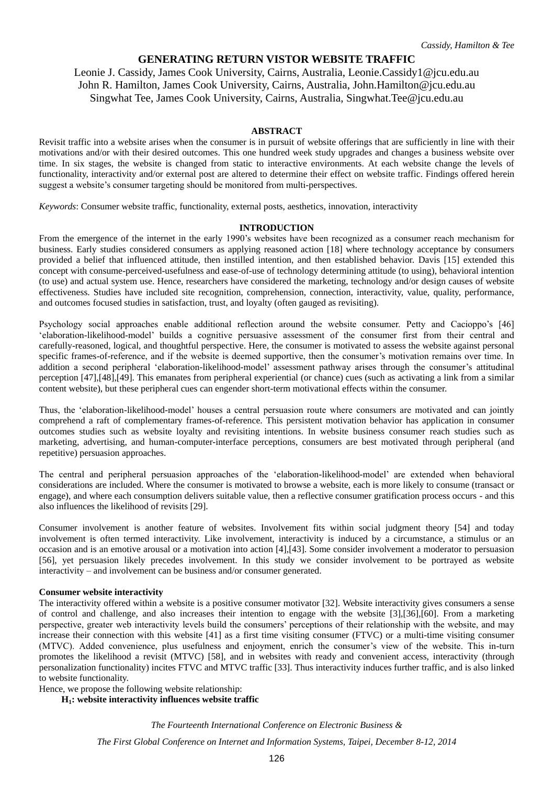# **GENERATING RETURN VISTOR WEBSITE TRAFFIC**

Leonie J. Cassidy, James Cook University, Cairns, Australia, Leonie.Cassidy1@jcu.edu.au John R. Hamilton, James Cook University, Cairns, Australia, John.Hamilton@jcu.edu.au Singwhat Tee, James Cook University, Cairns, Australia, Singwhat.Tee@jcu.edu.au

#### **ABSTRACT**

Revisit traffic into a website arises when the consumer is in pursuit of website offerings that are sufficiently in line with their motivations and/or with their desired outcomes. This one hundred week study upgrades and changes a business website over time. In six stages, the website is changed from static to interactive environments. At each website change the levels of functionality, interactivity and/or external post are altered to determine their effect on website traffic. Findings offered herein suggest a website's consumer targeting should be monitored from multi-perspectives.

*Keywords*: Consumer website traffic, functionality, external posts, aesthetics, innovation, interactivity

#### **INTRODUCTION**

From the emergence of the internet in the early 1990's websites have been recognized as a consumer reach mechanism for business. Early studies considered consumers as applying reasoned action [18] where technology acceptance by consumers provided a belief that influenced attitude, then instilled intention, and then established behavior. Davis [15] extended this concept with consume-perceived-usefulness and ease-of-use of technology determining attitude (to using), behavioral intention (to use) and actual system use. Hence, researchers have considered the marketing, technology and/or design causes of website effectiveness. Studies have included site recognition, comprehension, connection, interactivity, value, quality, performance, and outcomes focused studies in satisfaction, trust, and loyalty (often gauged as revisiting).

Psychology social approaches enable additional reflection around the website consumer. Petty and Cacioppo's [46] 'elaboration-likelihood-model' builds a cognitive persuasive assessment of the consumer first from their central and carefully-reasoned, logical, and thoughtful perspective. Here, the consumer is motivated to assess the website against personal specific frames-of-reference, and if the website is deemed supportive, then the consumer's motivation remains over time. In addition a second peripheral 'elaboration-likelihood-model' assessment pathway arises through the consumer's attitudinal perception [47],[48],[49]. This emanates from peripheral experiential (or chance) cues (such as activating a link from a similar content website), but these peripheral cues can engender short-term motivational effects within the consumer.

Thus, the 'elaboration-likelihood-model' houses a central persuasion route where consumers are motivated and can jointly comprehend a raft of complementary frames-of-reference. This persistent motivation behavior has application in consumer outcomes studies such as website loyalty and revisiting intentions. In website business consumer reach studies such as marketing, advertising, and human-computer-interface perceptions, consumers are best motivated through peripheral (and repetitive) persuasion approaches.

The central and peripheral persuasion approaches of the 'elaboration-likelihood-model' are extended when behavioral considerations are included. Where the consumer is motivated to browse a website, each is more likely to consume (transact or engage), and where each consumption delivers suitable value, then a reflective consumer gratification process occurs - and this also influences the likelihood of revisits [29].

Consumer involvement is another feature of websites. Involvement fits within social judgment theory [54] and today involvement is often termed interactivity. Like involvement, interactivity is induced by a circumstance, a stimulus or an occasion and is an emotive arousal or a motivation into action [4],[43]. Some consider involvement a moderator to persuasion [56], yet persuasion likely precedes involvement. In this study we consider involvement to be portrayed as website interactivity – and involvement can be business and/or consumer generated.

#### **Consumer website interactivity**

The interactivity offered within a website is a positive consumer motivator [32]. Website interactivity gives consumers a sense of control and challenge, and also increases their intention to engage with the website [3],[36],[60]. From a marketing perspective, greater web interactivity levels build the consumers' perceptions of their relationship with the website, and may increase their connection with this website [41] as a first time visiting consumer (FTVC) or a multi-time visiting consumer (MTVC). Added convenience, plus usefulness and enjoyment, enrich the consumer's view of the website. This in-turn promotes the likelihood a revisit (MTVC) [58], and in websites with ready and convenient access, interactivity (through personalization functionality) incites FTVC and MTVC traffic [33]. Thus interactivity induces further traffic, and is also linked to website functionality.

Hence, we propose the following website relationship:

**H1: website interactivity influences website traffic**

*The Fourteenth International Conference on Electronic Business &*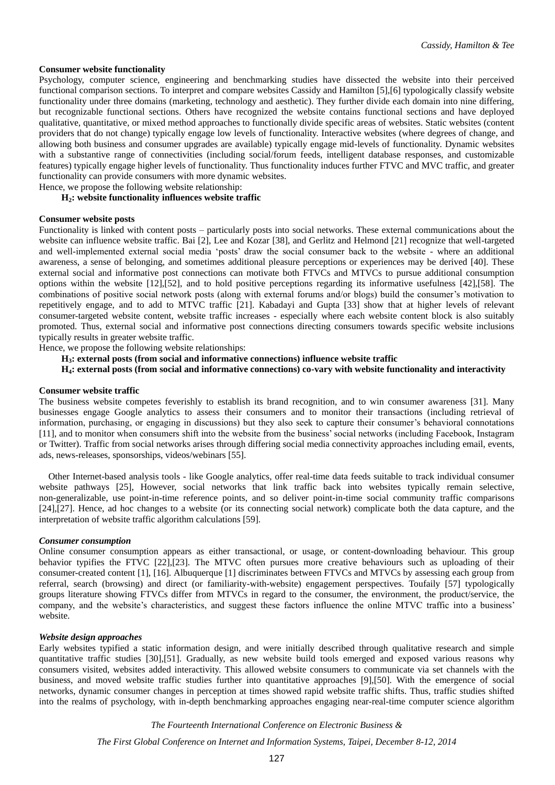#### **Consumer website functionality**

Psychology, computer science, engineering and benchmarking studies have dissected the website into their perceived functional comparison sections. To interpret and compare websites Cassidy and Hamilton [5],[6] typologically classify website functionality under three domains (marketing, technology and aesthetic). They further divide each domain into nine differing, but recognizable functional sections. Others have recognized the website contains functional sections and have deployed qualitative, quantitative, or mixed method approaches to functionally divide specific areas of websites. Static websites (content providers that do not change) typically engage low levels of functionality. Interactive websites (where degrees of change, and allowing both business and consumer upgrades are available) typically engage mid-levels of functionality. Dynamic websites with a substantive range of connectivities (including social/forum feeds, intelligent database responses, and customizable features) typically engage higher levels of functionality. Thus functionality induces further FTVC and MVC traffic, and greater functionality can provide consumers with more dynamic websites.

Hence, we propose the following website relationship:

## **H2: website functionality influences website traffic**

### **Consumer website posts**

Functionality is linked with content posts – particularly posts into social networks. These external communications about the website can influence website traffic. Bai [2], Lee and Kozar [38], and Gerlitz and Helmond [21] recognize that well-targeted and well-implemented external social media 'posts' draw the social consumer back to the website - where an additional awareness, a sense of belonging, and sometimes additional pleasure perceptions or experiences may be derived [40]. These external social and informative post connections can motivate both FTVCs and MTVCs to pursue additional consumption options within the website [12],[52], and to hold positive perceptions regarding its informative usefulness [42],[58]. The combinations of positive social network posts (along with external forums and/or blogs) build the consumer's motivation to repetitively engage, and to add to MTVC traffic [21]. Kabadayi and Gupta [33] show that at higher levels of relevant consumer-targeted website content, website traffic increases - especially where each website content block is also suitably promoted. Thus, external social and informative post connections directing consumers towards specific website inclusions typically results in greater website traffic.

Hence, we propose the following website relationships:

### **H3: external posts (from social and informative connections) influence website traffic**

## **H4: external posts (from social and informative connections) co-vary with website functionality and interactivity**

#### **Consumer website traffic**

The business website competes feverishly to establish its brand recognition, and to win consumer awareness [31]. Many businesses engage Google analytics to assess their consumers and to monitor their transactions (including retrieval of information, purchasing, or engaging in discussions) but they also seek to capture their consumer's behavioral connotations [11], and to monitor when consumers shift into the website from the business' social networks (including Facebook, Instagram or Twitter). Traffic from social networks arises through differing social media connectivity approaches including email, events, ads, news-releases, sponsorships, videos/webinars [55].

Other Internet-based analysis tools - like Google analytics, offer real-time data feeds suitable to track individual consumer website pathways [25]. However, social networks that link traffic back into websites typically remain selective, non-generalizable, use point-in-time reference points, and so deliver point-in-time social community traffic comparisons [24],[27]. Hence, ad hoc changes to a website (or its connecting social network) complicate both the data capture, and the interpretation of website traffic algorithm calculations [59].

#### *Consumer consumption*

Online consumer consumption appears as either transactional, or usage, or content-downloading behaviour. This group behavior typifies the FTVC [22],[23]. The MTVC often pursues more creative behaviours such as uploading of their consumer-created content [1], [16]. Albuquerque [1] discriminates between FTVCs and MTVCs by assessing each group from referral, search (browsing) and direct (or familiarity-with-website) engagement perspectives. Toufaily [57] typologically groups literature showing FTVCs differ from MTVCs in regard to the consumer, the environment, the product/service, the company, and the website's characteristics, and suggest these factors influence the online MTVC traffic into a business' website.

#### *Website design approaches*

Early websites typified a static information design, and were initially described through qualitative research and simple quantitative traffic studies [30],[51]. Gradually, as new website build tools emerged and exposed various reasons why consumers visited, websites added interactivity. This allowed website consumers to communicate via set channels with the business, and moved website traffic studies further into quantitative approaches [9],[50]. With the emergence of social networks, dynamic consumer changes in perception at times showed rapid website traffic shifts. Thus, traffic studies shifted into the realms of psychology, with in-depth benchmarking approaches engaging near-real-time computer science algorithm

#### *The Fourteenth International Conference on Electronic Business &*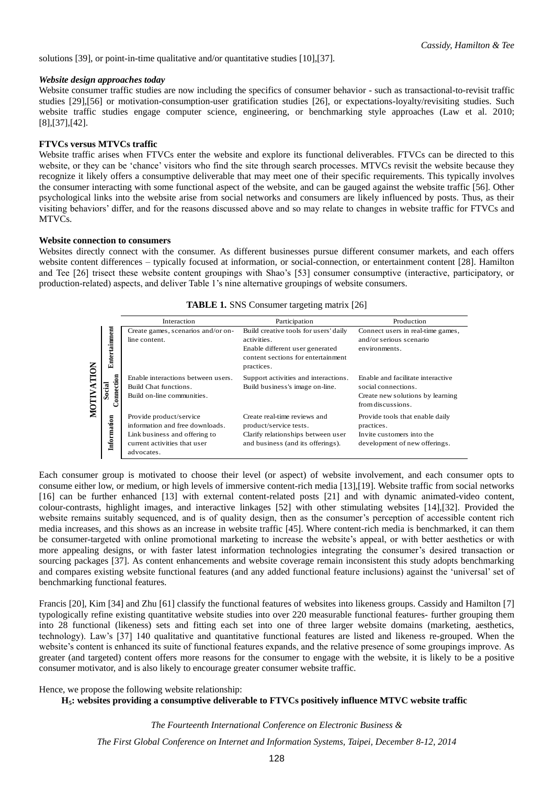solutions [39], or point-in-time qualitative and/or quantitative studies [10],[37].

### *Website design approaches today*

Website consumer traffic studies are now including the specifics of consumer behavior - such as transactional-to-revisit traffic studies [29],[56] or motivation-consumption-user gratification studies [26], or expectations-loyalty/revisiting studies. Such website traffic studies engage computer science, engineering, or benchmarking style approaches (Law et al. 2010; [8],[37],[42].

## **FTVCs versus MTVCs traffic**

Website traffic arises when FTVCs enter the website and explore its functional deliverables. FTVCs can be directed to this website, or they can be 'chance' visitors who find the site through search processes. MTVCs revisit the website because they recognize it likely offers a consumptive deliverable that may meet one of their specific requirements. This typically involves the consumer interacting with some functional aspect of the website, and can be gauged against the website traffic [56]. Other psychological links into the website arise from social networks and consumers are likely influenced by posts. Thus, as their visiting behaviors' differ, and for the reasons discussed above and so may relate to changes in website traffic for FTVCs and MTVCs.

## **Website connection to consumers**

Websites directly connect with the consumer. As different businesses pursue different consumer markets, and each offers website content differences – typically focused at information, or social-connection, or entertainment content [28]. Hamilton and Tee [26] trisect these website content groupings with Shao's [53] consumer consumptive (interactive, participatory, or production-related) aspects, and deliver Table 1's nine alternative groupings of website consumers.

|            |                      | Interaction                                                                                                                               | Participation                                                                                                                               | Production                                                                                                        |
|------------|----------------------|-------------------------------------------------------------------------------------------------------------------------------------------|---------------------------------------------------------------------------------------------------------------------------------------------|-------------------------------------------------------------------------------------------------------------------|
|            | Entertainment        | Create games, scenarios and/or on-<br>line content.                                                                                       | Build creative tools for users' daily<br>activities.<br>Enable different user generated<br>content sections for entertainment<br>practices. | Connect users in real-time games,<br>and/or serious scenario<br>environments.                                     |
| MOTIVATION | Connection<br>Social | Enable interactions between users.<br>Build Chat functions.<br>Build on-line communities.                                                 | Support activities and interactions.<br>Build business's image on-line.                                                                     | Enable and facilitate interactive<br>social connections.<br>Create new solutions by learning<br>from discussions. |
|            | Information          | Provide product/service<br>information and free downloads.<br>Link business and offering to<br>current activities that user<br>advocates. | Create real-time reviews and<br>product/service tests.<br>Clarify relationships between user<br>and business (and its offerings).           | Provide tools that enable daily<br>practices.<br>Invite customers into the<br>development of new offerings.       |

**TABLE 1.** SNS Consumer targeting matrix [26]

Each consumer group is motivated to choose their level (or aspect) of website involvement, and each consumer opts to consume either low, or medium, or high levels of immersive content-rich media [13],[19]. Website traffic from social networks [16] can be further enhanced [13] with external content-related posts [21] and with dynamic animated-video content, colour-contrasts, highlight images, and interactive linkages [52] with other stimulating websites [14],[32]. Provided the website remains suitably sequenced, and is of quality design, then as the consumer's perception of accessible content rich media increases, and this shows as an increase in website traffic [45]. Where content-rich media is benchmarked, it can them be consumer-targeted with online promotional marketing to increase the website's appeal, or with better aesthetics or with more appealing designs, or with faster latest information technologies integrating the consumer's desired transaction or sourcing packages [37]. As content enhancements and website coverage remain inconsistent this study adopts benchmarking and compares existing website functional features (and any added functional feature inclusions) against the 'universal' set of benchmarking functional features.

Francis [20], Kim [34] and Zhu [61] classify the functional features of websites into likeness groups. Cassidy and Hamilton [7] typologically refine existing quantitative website studies into over 220 measurable functional features- further grouping them into 28 functional (likeness) sets and fitting each set into one of three larger website domains (marketing, aesthetics, technology). Law's [37] 140 qualitative and quantitative functional features are listed and likeness re-grouped. When the website's content is enhanced its suite of functional features expands, and the relative presence of some groupings improve. As greater (and targeted) content offers more reasons for the consumer to engage with the website, it is likely to be a positive consumer motivator, and is also likely to encourage greater consumer website traffic.

Hence, we propose the following website relationship:

## **H5: websites providing a consumptive deliverable to FTVCs positively influence MTVC website traffic**

*The Fourteenth International Conference on Electronic Business &*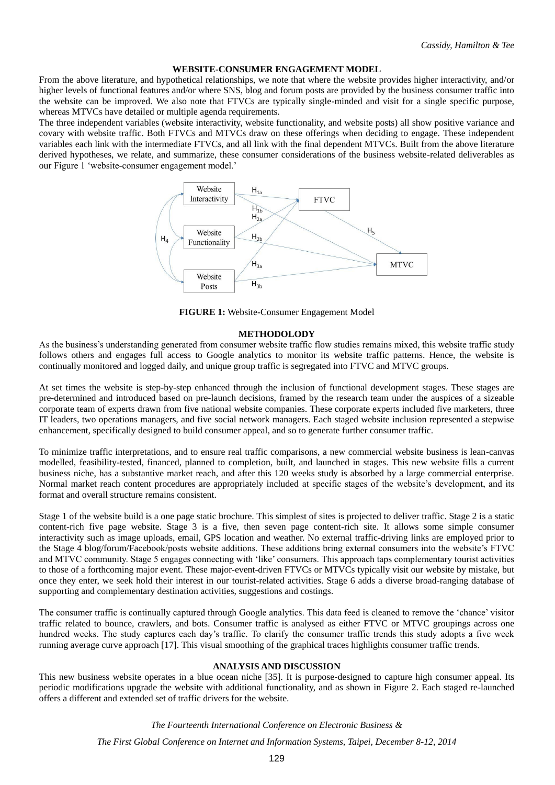#### **WEBSITE-CONSUMER ENGAGEMENT MODEL**

From the above literature, and hypothetical relationships, we note that where the website provides higher interactivity, and/or higher levels of functional features and/or where SNS, blog and forum posts are provided by the business consumer traffic into the website can be improved. We also note that FTVCs are typically single-minded and visit for a single specific purpose, whereas MTVCs have detailed or multiple agenda requirements.

The three independent variables (website interactivity, website functionality, and website posts) all show positive variance and covary with website traffic. Both FTVCs and MTVCs draw on these offerings when deciding to engage. These independent variables each link with the intermediate FTVCs, and all link with the final dependent MTVCs. Built from the above literature derived hypotheses, we relate, and summarize, these consumer considerations of the business website-related deliverables as our Figure 1 'website-consumer engagement model.'



**FIGURE 1:** Website-Consumer Engagement Model

#### **METHODOLODY**

As the business's understanding generated from consumer website traffic flow studies remains mixed, this website traffic study follows others and engages full access to Google analytics to monitor its website traffic patterns. Hence, the website is continually monitored and logged daily, and unique group traffic is segregated into FTVC and MTVC groups.

At set times the website is step-by-step enhanced through the inclusion of functional development stages. These stages are pre-determined and introduced based on pre-launch decisions, framed by the research team under the auspices of a sizeable corporate team of experts drawn from five national website companies. These corporate experts included five marketers, three IT leaders, two operations managers, and five social network managers. Each staged website inclusion represented a stepwise enhancement, specifically designed to build consumer appeal, and so to generate further consumer traffic.

To minimize traffic interpretations, and to ensure real traffic comparisons, a new commercial website business is lean-canvas modelled, feasibility-tested, financed, planned to completion, built, and launched in stages. This new website fills a current business niche, has a substantive market reach, and after this 120 weeks study is absorbed by a large commercial enterprise. Normal market reach content procedures are appropriately included at specific stages of the website's development, and its format and overall structure remains consistent.

Stage 1 of the website build is a one page static brochure. This simplest of sites is projected to deliver traffic. Stage 2 is a static content-rich five page website. Stage 3 is a five, then seven page content-rich site. It allows some simple consumer interactivity such as image uploads, email, GPS location and weather. No external traffic-driving links are employed prior to the Stage 4 blog/forum/Facebook/posts website additions. These additions bring external consumers into the website's FTVC and MTVC community. Stage 5 engages connecting with 'like' consumers. This approach taps complementary tourist activities to those of a forthcoming major event. These major-event-driven FTVCs or MTVCs typically visit our website by mistake, but once they enter, we seek hold their interest in our tourist-related activities. Stage 6 adds a diverse broad-ranging database of supporting and complementary destination activities, suggestions and costings.

The consumer traffic is continually captured through Google analytics. This data feed is cleaned to remove the 'chance' visitor traffic related to bounce, crawlers, and bots. Consumer traffic is analysed as either FTVC or MTVC groupings across one hundred weeks. The study captures each day's traffic. To clarify the consumer traffic trends this study adopts a five week running average curve approach [17]. This visual smoothing of the graphical traces highlights consumer traffic trends.

# **ANALYSIS AND DISCUSSION**

This new business website operates in a blue ocean niche [35]. It is purpose-designed to capture high consumer appeal. Its periodic modifications upgrade the website with additional functionality, and as shown in Figure 2. Each staged re-launched offers a different and extended set of traffic drivers for the website.

#### *The Fourteenth International Conference on Electronic Business &*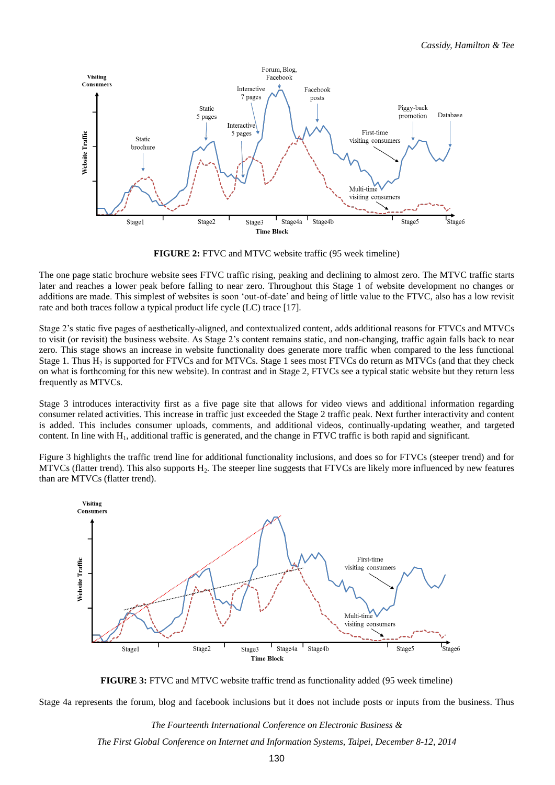

**FIGURE 2:** FTVC and MTVC website traffic (95 week timeline)

The one page static brochure website sees FTVC traffic rising, peaking and declining to almost zero. The MTVC traffic starts later and reaches a lower peak before falling to near zero. Throughout this Stage 1 of website development no changes or additions are made. This simplest of websites is soon 'out-of-date' and being of little value to the FTVC, also has a low revisit rate and both traces follow a typical product life cycle (LC) trace [17].

Stage 2's static five pages of aesthetically-aligned, and contextualized content, adds additional reasons for FTVCs and MTVCs to visit (or revisit) the business website. As Stage 2's content remains static, and non-changing, traffic again falls back to near zero. This stage shows an increase in website functionality does generate more traffic when compared to the less functional Stage 1. Thus  $H_2$  is supported for FTVCs and for MTVCs. Stage 1 sees most FTVCs do return as MTVCs (and that they check on what is forthcoming for this new website). In contrast and in Stage 2, FTVCs see a typical static website but they return less frequently as MTVCs.

Stage 3 introduces interactivity first as a five page site that allows for video views and additional information regarding consumer related activities. This increase in traffic just exceeded the Stage 2 traffic peak. Next further interactivity and content is added. This includes consumer uploads, comments, and additional videos, continually-updating weather, and targeted content. In line with  $H_1$ , additional traffic is generated, and the change in FTVC traffic is both rapid and significant.

Figure 3 highlights the traffic trend line for additional functionality inclusions, and does so for FTVCs (steeper trend) and for  $MTVCs$  (flatter trend). This also supports  $H<sub>2</sub>$ . The steeper line suggests that FTVCs are likely more influenced by new features than are MTVCs (flatter trend).



**FIGURE 3:** FTVC and MTVC website traffic trend as functionality added (95 week timeline)

Stage 4a represents the forum, blog and facebook inclusions but it does not include posts or inputs from the business. Thus

*The Fourteenth International Conference on Electronic Business &*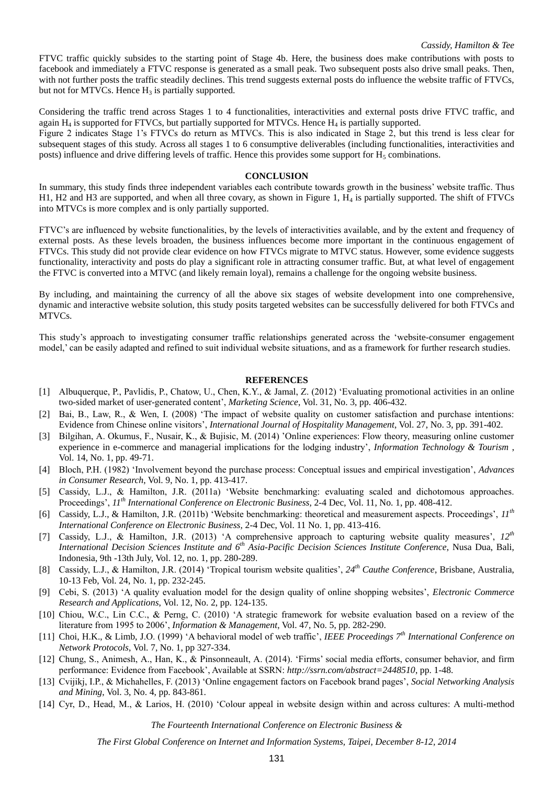FTVC traffic quickly subsides to the starting point of Stage 4b. Here, the business does make contributions with posts to facebook and immediately a FTVC response is generated as a small peak. Two subsequent posts also drive small peaks. Then, with not further posts the traffic steadily declines. This trend suggests external posts do influence the website traffic of FTVCs, but not for MTVCs. Hence  $H_3$  is partially supported.

Considering the traffic trend across Stages 1 to 4 functionalities, interactivities and external posts drive FTVC traffic, and again  $H_4$  is supported for FTVCs, but partially supported for MTVCs. Hence  $H_4$  is partially supported.

Figure 2 indicates Stage 1's FTVCs do return as MTVCs. This is also indicated in Stage 2, but this trend is less clear for subsequent stages of this study. Across all stages 1 to 6 consumptive deliverables (including functionalities, interactivities and posts) influence and drive differing levels of traffic. Hence this provides some support for  $H_5$  combinations.

#### **CONCLUSION**

In summary, this study finds three independent variables each contribute towards growth in the business' website traffic. Thus H1, H2 and H3 are supported, and when all three covary, as shown in Figure 1, H<sup>4</sup> is partially supported. The shift of FTVCs into MTVCs is more complex and is only partially supported.

FTVC's are influenced by website functionalities, by the levels of interactivities available, and by the extent and frequency of external posts. As these levels broaden, the business influences become more important in the continuous engagement of FTVCs. This study did not provide clear evidence on how FTVCs migrate to MTVC status. However, some evidence suggests functionality, interactivity and posts do play a significant role in attracting consumer traffic. But, at what level of engagement the FTVC is converted into a MTVC (and likely remain loyal), remains a challenge for the ongoing website business.

By including, and maintaining the currency of all the above six stages of website development into one comprehensive, dynamic and interactive website solution, this study posits targeted websites can be successfully delivered for both FTVCs and MTVCs.

This study's approach to investigating consumer traffic relationships generated across the 'website-consumer engagement model,' can be easily adapted and refined to suit individual website situations, and as a framework for further research studies.

#### **REFERENCES**

- [1] Albuquerque, P., Pavlidis, P., Chatow, U., Chen, K.Y., & Jamal, Z. (2012) 'Evaluating promotional activities in an online two-sided market of user-generated content', *Marketing Science*, Vol. 31, No. 3, pp. 406-432.
- [2] Bai, B., Law, R., & Wen, I. (2008) 'The impact of website quality on customer satisfaction and purchase intentions: Evidence from Chinese online visitors', *International Journal of Hospitality Management*, Vol. 27, No. 3, pp. 391-402.
- [3] Bilgihan, A. Okumus, F., Nusair, K., & Bujisic, M. (2014) 'Online experiences: Flow theory, measuring online customer experience in e-commerce and managerial implications for the lodging industry', *Information Technology & Tourism* , Vol. 14, No. 1, pp. 49-71.
- [4] Bloch, P.H. (1982) 'Involvement beyond the purchase process: Conceptual issues and empirical investigation', *Advances in Consumer Research*, Vol. 9, No. 1, pp. 413-417.
- [5] Cassidy, L.J., & Hamilton, J.R. (2011a) 'Website benchmarking: evaluating scaled and dichotomous approaches. Proceedings', *11th International Conference on Electronic Business,* 2-4 Dec, Vol. 11, No. 1, pp. 408-412.
- [6] Cassidy, L.J., & Hamilton, J.R. (2011b) 'Website benchmarking: theoretical and measurement aspects. Proceedings', *11th International Conference on Electronic Business,* 2-4 Dec, Vol. 11 No. 1, pp. 413-416.
- [7] Cassidy, L.J., & Hamilton, J.R. (2013) 'A comprehensive approach to capturing website quality measures', *12th International Decision Sciences Institute and 6th Asia-Pacific Decision Sciences Institute Conference*, Nusa Dua, Bali, Indonesia, 9th -13th July, Vol. 12, no. 1, pp. 280-289.
- [8] Cassidy, L.J., & Hamilton, J.R. (2014) 'Tropical tourism website qualities', *24th Cauthe Conference*, Brisbane, Australia, 10-13 Feb, Vol. 24, No. 1, pp. 232-245.
- [9] Cebi, S. (2013) 'A quality evaluation model for the design quality of online shopping websites', *Electronic Commerce Research and Applications*, Vol. 12, No. 2, pp. 124-135.
- [10] Chiou, W.C., Lin C.C., & Perng, C. (2010) 'A strategic framework for website evaluation based on a review of the literature from 1995 to 2006', *Information & Management*, Vol. 47, No. 5, pp. 282-290.
- [11] Choi, H.K., & Limb, J.O. (1999) 'A behavioral model of web traffic', *IEEE Proceedings 7th International Conference on Network Protocols*, Vol. 7, No. 1, pp 327-334.
- [12] Chung, S., Animesh, A., Han, K., & Pinsonneault, A. (2014). 'Firms' social media efforts, consumer behavior, and firm performance: Evidence from Facebook', Available at SSRN: *http://ssrn.com/abstract=2448510*, pp. 1-48.
- [13] Cvijikj, I.P., & Michahelles, F. (2013) 'Online engagement factors on Facebook brand pages', *Social Networking Analysis and Mining*, Vol. 3, No. 4, pp. 843-861.
- [14] Cyr, D., Head, M., & Larios, H. (2010) 'Colour appeal in website design within and across cultures: A multi-method

*The Fourteenth International Conference on Electronic Business &*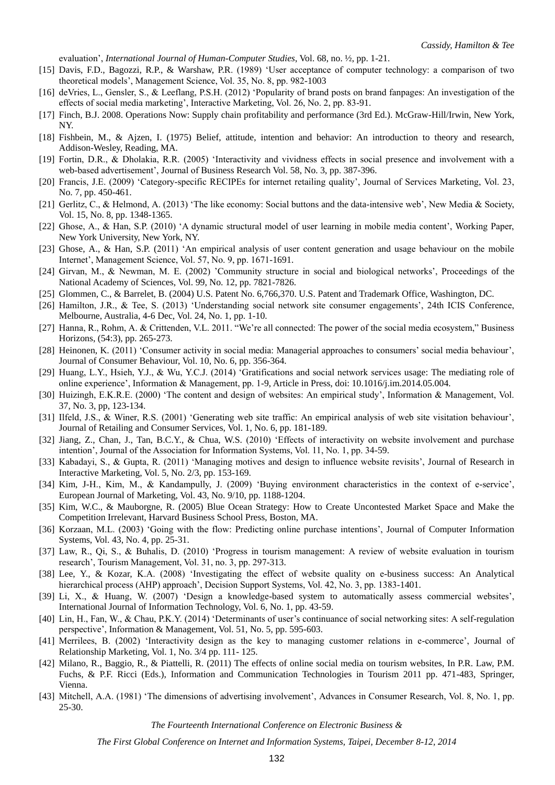evaluation', *International Journal of Human-Computer Studies*, Vol. 68, no. ½ , pp. 1-21.

- [15] Davis, F.D., Bagozzi, R.P., & Warshaw, P.R. (1989) 'User acceptance of computer technology: a comparison of two theoretical models', Management Science, Vol. 35, No. 8, pp. 982-1003
- [16] deVries, L., Gensler, S., & Leeflang, P.S.H. (2012) 'Popularity of brand posts on brand fanpages: An investigation of the effects of social media marketing', Interactive Marketing, Vol. 26, No. 2, pp. 83-91.
- [17] Finch, B.J. 2008. Operations Now: Supply chain profitability and performance (3rd Ed.). McGraw-Hill/Irwin, New York, NY.
- [18] Fishbein, M., & Ajzen, I. (1975) Belief, attitude, intention and behavior: An introduction to theory and research, Addison-Wesley, Reading, MA.
- [19] Fortin, D.R., & Dholakia, R.R. (2005) 'Interactivity and vividness effects in social presence and involvement with a web-based advertisement', Journal of Business Research Vol. 58, No. 3, pp. 387-396.
- [20] Francis, J.E. (2009) 'Category-specific RECIPEs for internet retailing quality', Journal of Services Marketing, Vol. 23, No. 7, pp. 450-461.
- [21] Gerlitz, C., & Helmond, A. (2013) 'The like economy: Social buttons and the data-intensive web', New Media & Society, Vol. 15, No. 8, pp. 1348-1365.
- [22] Ghose, A., & Han, S.P. (2010) 'A dynamic structural model of user learning in mobile media content', Working Paper, New York University, New York, NY.
- [23] Ghose, A., & Han, S.P. (2011) 'An empirical analysis of user content generation and usage behaviour on the mobile Internet', Management Science, Vol. 57, No. 9, pp. 1671-1691.
- [24] Girvan, M., & Newman, M. E. (2002) 'Community structure in social and biological networks', Proceedings of the National Academy of Sciences, Vol. 99, No. 12, pp. 7821-7826.
- [25] Glommen, C., & Barrelet, B. (2004) U.S. Patent No. 6,766,370. U.S. Patent and Trademark Office, Washington, DC.
- [26] Hamilton, J.R., & Tee, S. (2013) 'Understanding social network site consumer engagements', 24th ICIS Conference, Melbourne, Australia, 4-6 Dec, Vol. 24, No. 1, pp. 1-10.
- [27] Hanna, R., Rohm, A. & Crittenden, V.L. 2011. "We're all connected: The power of the social media ecosystem," Business Horizons, (54:3), pp. 265-273.
- [28] Heinonen, K. (2011) 'Consumer activity in social media: Managerial approaches to consumers' social media behaviour', Journal of Consumer Behaviour, Vol. 10, No. 6, pp. 356-364.
- [29] Huang, L.Y., Hsieh, Y.J., & Wu, Y.C.J. (2014) 'Gratifications and social network services usage: The mediating role of online experience', Information & Management, pp. 1-9, Article in Press, doi: 10.1016/j.im.2014.05.004.
- [30] Huizingh, E.K.R.E. (2000) 'The content and design of websites: An empirical study', Information & Management, Vol. 37, No. 3, pp, 123-134.
- [31] Ilfeld, J.S., & Winer, R.S. (2001) 'Generating web site traffic: An empirical analysis of web site visitation behaviour', Journal of Retailing and Consumer Services, Vol. 1, No. 6, pp. 181-189.
- [32] Jiang, Z., Chan, J., Tan, B.C.Y., & Chua, W.S. (2010) 'Effects of interactivity on website involvement and purchase intention', Journal of the Association for Information Systems, Vol. 11, No. 1, pp. 34-59.
- [33] Kabadayi, S., & Gupta, R. (2011) 'Managing motives and design to influence website revisits', Journal of Research in Interactive Marketing, Vol. 5, No. 2/3, pp. 153-169.
- [34] Kim, J-H., Kim, M., & Kandampully, J. (2009) 'Buying environment characteristics in the context of e-service', European Journal of Marketing, Vol. 43, No. 9/10, pp. 1188-1204.
- [35] Kim, W.C., & Mauborgne, R. (2005) Blue Ocean Strategy: How to Create Uncontested Market Space and Make the Competition Irrelevant, Harvard Business School Press, Boston, MA.
- [36] Korzaan, M.L. (2003) 'Going with the flow: Predicting online purchase intentions', Journal of Computer Information Systems, Vol. 43, No. 4, pp. 25-31.
- [37] Law, R., Qi, S., & Buhalis, D. (2010) 'Progress in tourism management: A review of website evaluation in tourism research', Tourism Management, Vol. 31, no. 3, pp. 297-313.
- [38] Lee, Y., & Kozar, K.A. (2008) 'Investigating the effect of website quality on e-business success: An Analytical hierarchical process (AHP) approach', Decision Support Systems, Vol. 42, No. 3, pp. 1383-1401.
- [39] Li, X., & Huang, W. (2007) 'Design a knowledge-based system to automatically assess commercial websites', International Journal of Information Technology, Vol. 6, No. 1, pp. 43-59.
- [40] Lin, H., Fan, W., & Chau, P.K.Y. (2014) 'Determinants of user's continuance of social networking sites: A self-regulation perspective', Information & Management, Vol. 51, No. 5, pp. 595-603.
- [41] Merrilees, B. (2002) 'Interactivity design as the key to managing customer relations in e-commerce', Journal of Relationship Marketing, Vol. 1, No. 3/4 pp. 111- 125.
- [42] Milano, R., Baggio, R., & Piattelli, R. (2011) The effects of online social media on tourism websites, In P.R. Law, P.M. Fuchs, & P.F. Ricci (Eds.), Information and Communication Technologies in Tourism 2011 pp. 471-483, Springer, Vienna.
- [43] Mitchell, A.A. (1981) 'The dimensions of advertising involvement', Advances in Consumer Research, Vol. 8, No. 1, pp. 25-30.

*The Fourteenth International Conference on Electronic Business &*